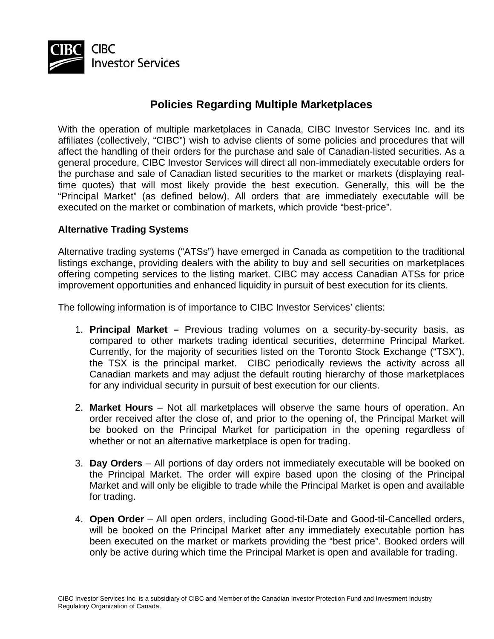

## **Policies Regarding Multiple Marketplaces**

With the operation of multiple marketplaces in Canada, CIBC Investor Services Inc. and its affiliates (collectively, "CIBC") wish to advise clients of some policies and procedures that will affect the handling of their orders for the purchase and sale of Canadian-listed securities. As a general procedure, CIBC Investor Services will direct all non-immediately executable orders for the purchase and sale of Canadian listed securities to the market or markets (displaying realtime quotes) that will most likely provide the best execution. Generally, this will be the "Principal Market" (as defined below). All orders that are immediately executable will be executed on the market or combination of markets, which provide "best-price".

## **Alternative Trading Systems**

Alternative trading systems ("ATSs") have emerged in Canada as competition to the traditional listings exchange, providing dealers with the ability to buy and sell securities on marketplaces offering competing services to the listing market. CIBC may access Canadian ATSs for price improvement opportunities and enhanced liquidity in pursuit of best execution for its clients.

The following information is of importance to CIBC Investor Services' clients:

- 1. **Principal Market** Previous trading volumes on a security-by-security basis, as compared to other markets trading identical securities, determine Principal Market. Currently, for the majority of securities listed on the Toronto Stock Exchange ("TSX"), the TSX is the principal market. CIBC periodically reviews the activity across all Canadian markets and may adjust the default routing hierarchy of those marketplaces for any individual security in pursuit of best execution for our clients.
- 2. **Market Hours** Not all marketplaces will observe the same hours of operation. An order received after the close of, and prior to the opening of, the Principal Market will be booked on the Principal Market for participation in the opening regardless of whether or not an alternative marketplace is open for trading.
- 3. **Day Orders** All portions of day orders not immediately executable will be booked on the Principal Market. The order will expire based upon the closing of the Principal Market and will only be eligible to trade while the Principal Market is open and available for trading.
- 4. **Open Order**  All open orders, including Good-til-Date and Good-til-Cancelled orders, will be booked on the Principal Market after any immediately executable portion has been executed on the market or markets providing the "best price". Booked orders will only be active during which time the Principal Market is open and available for trading.